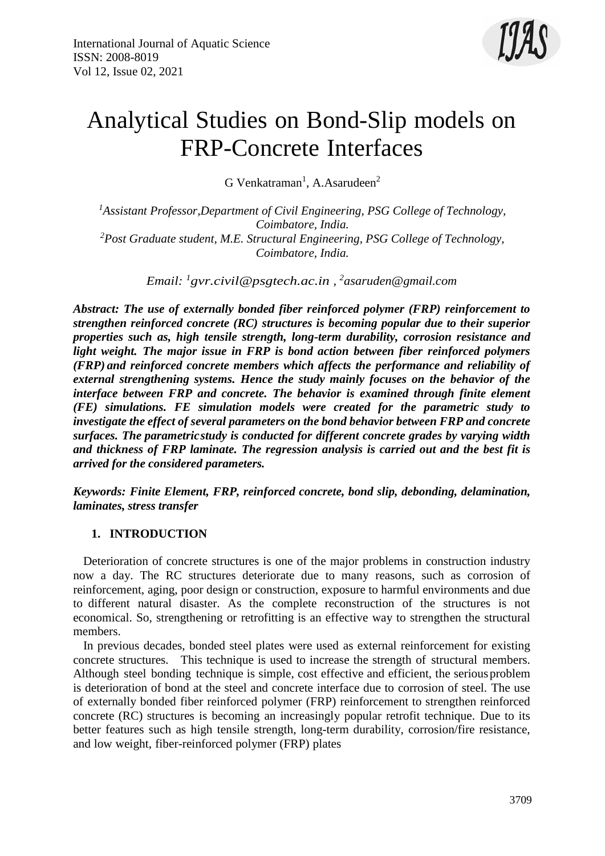

# Analytical Studies on Bond-Slip models on FRP-Concrete Interfaces

G Venkatraman<sup>1</sup>, A.Asarudeen<sup>2</sup>

*<sup>1</sup>Assistant Professor,Department of Civil Engineering, PSG College of Technology, Coimbatore, India. <sup>2</sup>Post Graduate student, M.E. Structural Engineering, PSG College of Technology, Coimbatore, India.*

*Email: <sup>1</sup> [gvr.civil@psgtech.ac.in ,](mailto:gvr.civil@psgtech.ac.in) 2 [asaruden@gmail.com](mailto:asaruden@gmail.com)*

*Abstract: The use of externally bonded fiber reinforced polymer (FRP) reinforcement to strengthen reinforced concrete (RC) structures is becoming popular due to their superior properties such as, high tensile strength, long-term durability, corrosion resistance and light weight. The major issue in FRP is bond action between fiber reinforced polymers (FRP) and reinforced concrete members which affects the performance and reliability of external strengthening systems. Hence the study mainly focuses on the behavior of the interface between FRP and concrete. The behavior is examined through finite element (FE) simulations. FE simulation models were created for the parametric study to investigate the effect of several parameters on the bond behavior between FRP and concrete surfaces. The parametricstudy is conducted for different concrete grades by varying width and thickness of FRP laminate. The regression analysis is carried out and the best fit is arrived for the considered parameters.*

*Keywords: Finite Element, FRP, reinforced concrete, bond slip, debonding, delamination, laminates, stress transfer*

#### **1. INTRODUCTION**

Deterioration of concrete structures is one of the major problems in construction industry now a day. The RC structures deteriorate due to many reasons, such as corrosion of reinforcement, aging, poor design or construction, exposure to harmful environments and due to different natural disaster. As the complete reconstruction of the structures is not economical. So, strengthening or retrofitting is an effective way to strengthen the structural members.

In previous decades, bonded steel plates were used as external reinforcement for existing concrete structures. This technique is used to increase the strength of structural members. Although steel bonding technique is simple, cost effective and efficient, the seriousproblem is deterioration of bond at the steel and concrete interface due to corrosion of steel. The use of externally bonded fiber reinforced polymer (FRP) reinforcement to strengthen reinforced concrete (RC) structures is becoming an increasingly popular retrofit technique. Due to its better features such as high tensile strength, long-term durability, corrosion/fire resistance, and low weight, fiber-reinforced polymer (FRP) plates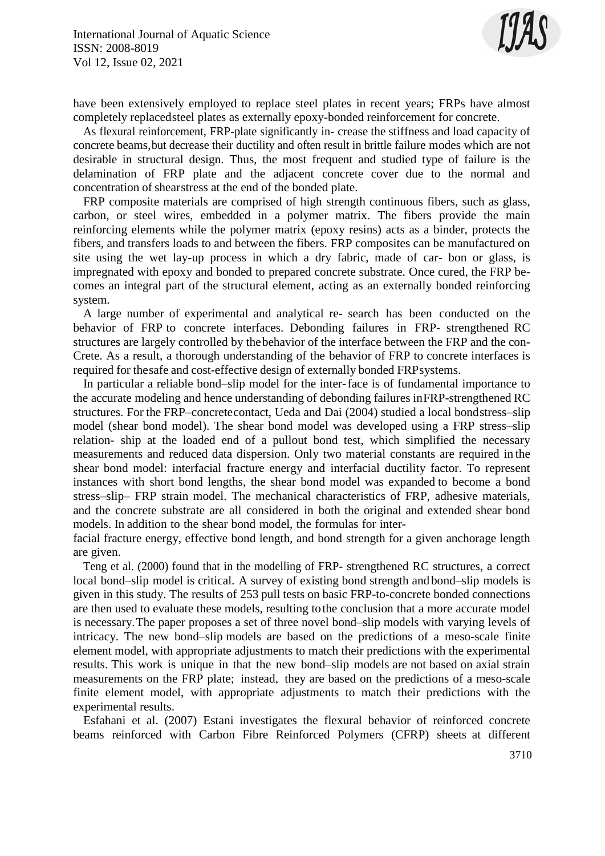

have been extensively employed to replace steel plates in recent years; FRPs have almost completely replacedsteel plates as externally epoxy-bonded reinforcement for concrete.

As flexural reinforcement, FRP-plate significantly in- crease the stiffness and load capacity of concrete beams,but decrease their ductility and often result in brittle failure modes which are not desirable in structural design. Thus, the most frequent and studied type of failure is the delamination of FRP plate and the adjacent concrete cover due to the normal and concentration of shearstress at the end of the bonded plate.

FRP composite materials are comprised of high strength continuous fibers, such as glass, carbon, or steel wires, embedded in a polymer matrix. The fibers provide the main reinforcing elements while the polymer matrix (epoxy resins) acts as a binder, protects the fibers, and transfers loads to and between the fibers. FRP composites can be manufactured on site using the wet lay-up process in which a dry fabric, made of car- bon or glass, is impregnated with epoxy and bonded to prepared concrete substrate. Once cured, the FRP becomes an integral part of the structural element, acting as an externally bonded reinforcing system.

A large number of experimental and analytical re- search has been conducted on the behavior of FRP to concrete interfaces. Debonding failures in FRP- strengthened RC structures are largely controlled by thebehavior of the interface between the FRP and the con-Crete. As a result, a thorough understanding of the behavior of FRP to concrete interfaces is required for thesafe and cost-effective design of externally bonded FRPsystems.

In particular a reliable bond–slip model for the inter-face is of fundamental importance to the accurate modeling and hence understanding of debonding failures inFRP-strengthened RC structures. For the FRP–concretecontact, Ueda and Dai (2004) studied a local bondstress–slip model (shear bond model). The shear bond model was developed using a FRP stress–slip relation- ship at the loaded end of a pullout bond test, which simplified the necessary measurements and reduced data dispersion. Only two material constants are required in the shear bond model: interfacial fracture energy and interfacial ductility factor. To represent instances with short bond lengths, the shear bond model was expanded to become a bond stress–slip– FRP strain model. The mechanical characteristics of FRP, adhesive materials, and the concrete substrate are all considered in both the original and extended shear bond models. In addition to the shear bond model, the formulas for inter-

facial fracture energy, effective bond length, and bond strength for a given anchorage length are given.

Teng et al. (2000) found that in the modelling of FRP- strengthened RC structures, a correct local bond–slip model is critical. A survey of existing bond strength andbond–slip models is given in this study. The results of 253 pull tests on basic FRP-to-concrete bonded connections are then used to evaluate these models, resulting tothe conclusion that a more accurate model is necessary.The paper proposes a set of three novel bond–slip models with varying levels of intricacy. The new bond–slip models are based on the predictions of a meso-scale finite element model, with appropriate adjustments to match their predictions with the experimental results. This work is unique in that the new bond–slip models are not based on axial strain measurements on the FRP plate; instead, they are based on the predictions of a meso-scale finite element model, with appropriate adjustments to match their predictions with the experimental results.

Esfahani et al. (2007) Estani investigates the flexural behavior of reinforced concrete beams reinforced with Carbon Fibre Reinforced Polymers (CFRP) sheets at different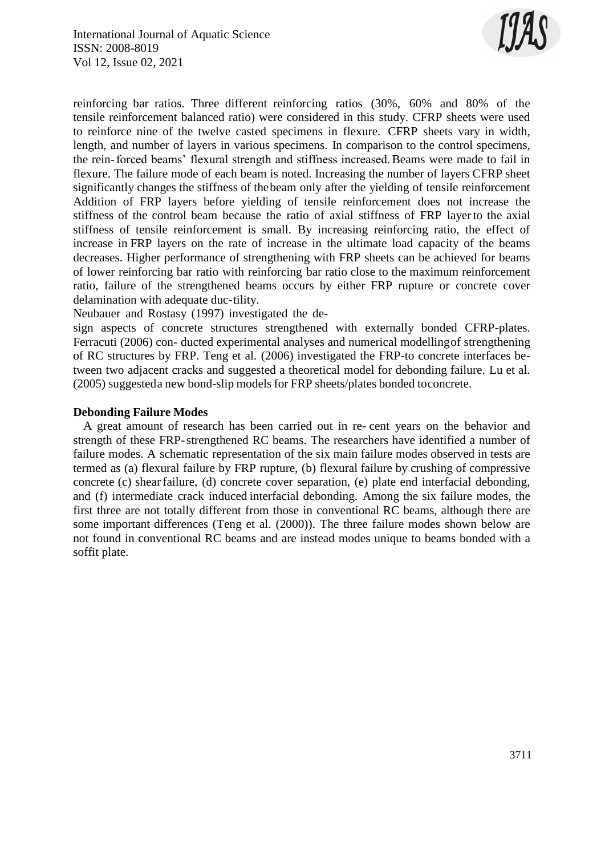

reinforcing bar ratios. Three different reinforcing ratios (30%, 60% and 80% of the tensile reinforcement balanced ratio) were considered in this study. CFRP sheets were used to reinforce nine of the twelve casted specimens in flexure. CFRP sheets vary in width, length, and number of layers in various specimens. In comparison to the control specimens, the rein-forced beams' flexural strength and stiffness increased.Beams were made to fail in flexure. The failure mode of each beam is noted. Increasing the number of layers CFRP sheet significantly changes the stiffness of thebeam only after the yielding of tensile reinforcement Addition of FRP layers before yielding of tensile reinforcement does not increase the stiffness of the control beam because the ratio of axial stiffness of FRP layerto the axial stiffness of tensile reinforcement is small. By increasing reinforcing ratio, the effect of increase in FRP layers on the rate of increase in the ultimate load capacity of the beams decreases. Higher performance of strengthening with FRP sheets can be achieved for beams of lower reinforcing bar ratio with reinforcing bar ratio close to the maximum reinforcement ratio, failure of the strengthened beams occurs by either FRP rupture or concrete cover delamination with adequate duc-tility.

Neubauer and Rostasy (1997) investigated the de-

sign aspects of concrete structures strengthened with externally bonded CFRP-plates. Ferracuti (2006) con- ducted experimental analyses and numerical modellingof strengthening of RC structures by FRP. Teng et al. (2006) investigated the FRP-to concrete interfaces between two adjacent cracks and suggested a theoretical model for debonding failure. Lu et al. (2005) suggesteda new bond-slip models for FRP sheets/plates bonded toconcrete.

#### **Debonding Failure Modes**

A great amount of research has been carried out in re- cent years on the behavior and strength of these FRP-strengthened RC beams. The researchers have identified a number of failure modes. A schematic representation of the six main failure modes observed in tests are termed as (a) flexural failure by FRP rupture, (b) flexural failure by crushing of compressive concrete (c) shearfailure, (d) concrete cover separation, (e) plate end interfacial debonding, and (f) intermediate crack induced interfacial debonding. Among the six failure modes, the first three are not totally different from those in conventional RC beams, although there are some important differences (Teng et al. (2000)). The three failure modes shown below are not found in conventional RC beams and are instead modes unique to beams bonded with a soffit plate.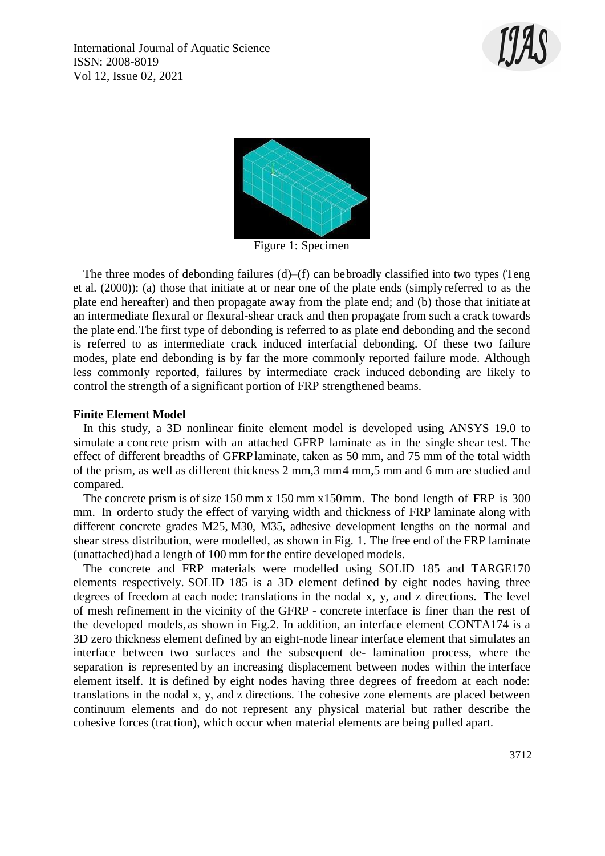



Figure 1: Specimen

The three modes of debonding failures  $(d)$ – $(f)$  can be broadly classified into two types (Teng et al. (2000)): (a) those that initiate at or near one of the plate ends (simply referred to as the plate end hereafter) and then propagate away from the plate end; and (b) those that initiate at an intermediate flexural or flexural-shear crack and then propagate from such a crack towards the plate end.The first type of debonding is referred to as plate end debonding and the second is referred to as intermediate crack induced interfacial debonding. Of these two failure modes, plate end debonding is by far the more commonly reported failure mode. Although less commonly reported, failures by intermediate crack induced debonding are likely to control the strength of a significant portion of FRP strengthened beams.

#### **Finite Element Model**

In this study, a 3D nonlinear finite element model is developed using ANSYS 19.0 to simulate a concrete prism with an attached GFRP laminate as in the single shear test. The effect of different breadths of GFRPlaminate, taken as 50 mm, and 75 mm of the total width of the prism, as well as different thickness 2 mm,3 mm4 mm,5 mm and 6 mm are studied and compared.

The concrete prism is of size 150 mm x 150 mm x150mm. The bond length of FRP is 300 mm. In orderto study the effect of varying width and thickness of FRP laminate along with different concrete grades M25, M30, M35, adhesive development lengths on the normal and shear stress distribution, were modelled, as shown in Fig. 1. The free end of the FRP laminate (unattached)had a length of 100 mm for the entire developed models.

The concrete and FRP materials were modelled using SOLID 185 and TARGE170 elements respectively. SOLID 185 is a 3D element defined by eight nodes having three degrees of freedom at each node: translations in the nodal x, y, and z directions. The level of mesh refinement in the vicinity of the GFRP - concrete interface is finer than the rest of the developed models, as shown in Fig.2. In addition, an interface element CONTA174 is a 3D zero thickness element defined by an eight-node linear interface element that simulates an interface between two surfaces and the subsequent de- lamination process, where the separation is represented by an increasing displacement between nodes within the interface element itself. It is defined by eight nodes having three degrees of freedom at each node: translations in the nodal x, y, and z directions. The cohesive zone elements are placed between continuum elements and do not represent any physical material but rather describe the cohesive forces (traction), which occur when material elements are being pulled apart.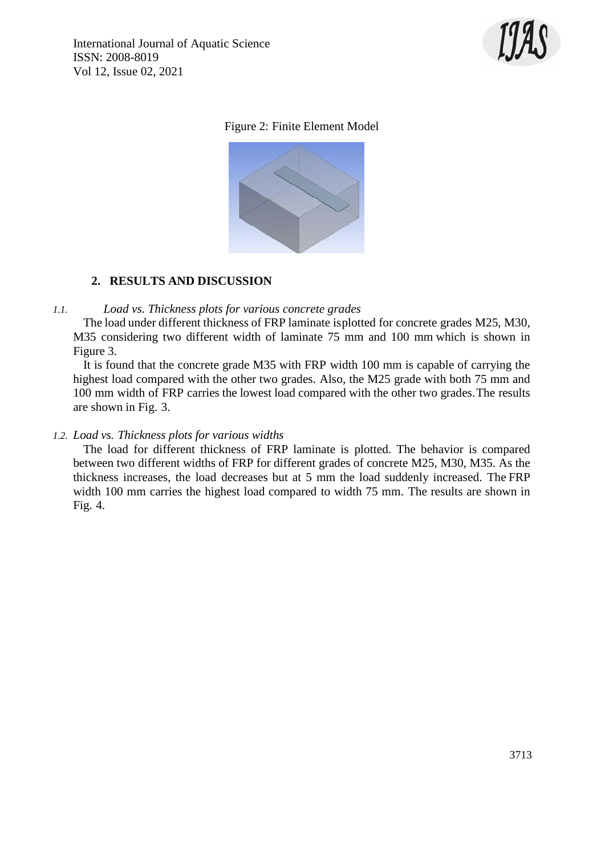

# Figure 2: Finite Element Model



# **2. RESULTS AND DISCUSSION**

## *1.1. Load vs. Thickness plots for various concrete grades*

The load under different thickness of FRP laminate isplotted for concrete grades M25, M30, M35 considering two different width of laminate 75 mm and 100 mm which is shown in Figure 3.

It is found that the concrete grade M35 with FRP width 100 mm is capable of carrying the highest load compared with the other two grades. Also, the M25 grade with both 75 mm and 100 mm width of FRP carries the lowest load compared with the other two grades.The results are shown in Fig. 3.

# *1.2. Load vs. Thickness plots for various widths*

The load for different thickness of FRP laminate is plotted. The behavior is compared between two different widths of FRP for different grades of concrete M25, M30, M35. As the thickness increases, the load decreases but at 5 mm the load suddenly increased. The FRP width 100 mm carries the highest load compared to width 75 mm. The results are shown in Fig. 4.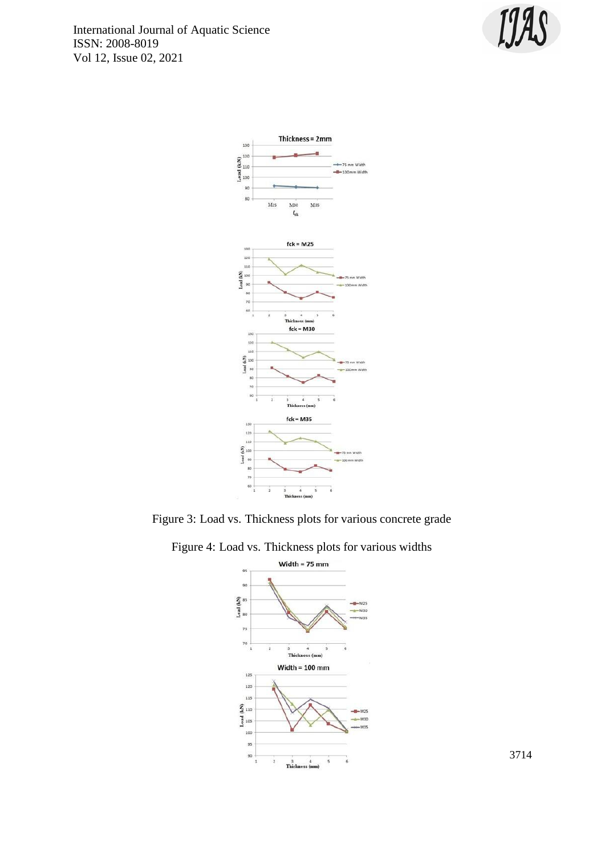International Journal of Aquatic Science ISSN: 2008-8019 Vol 12, Issue 02, 2021





Figure 3: Load vs. Thickness plots for various concrete grade





3714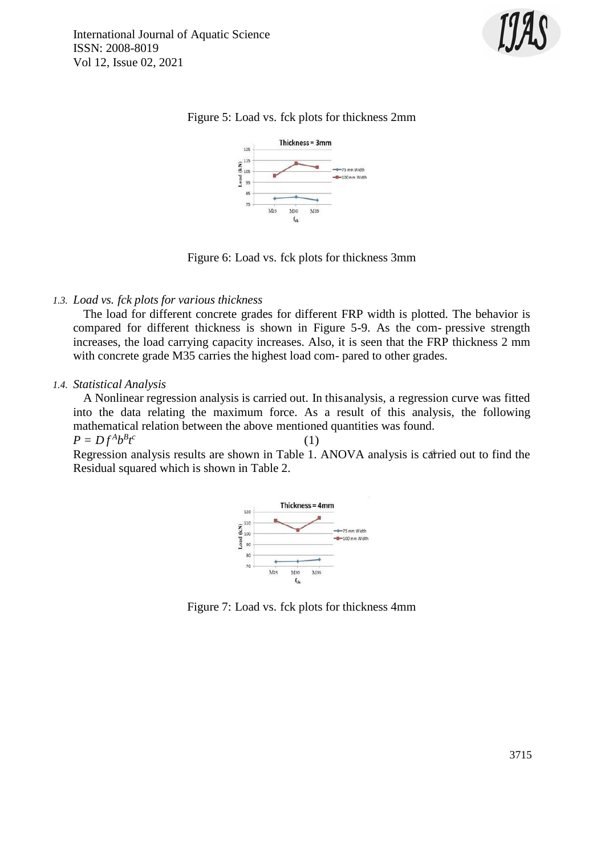





Figure 6: Load vs. fck plots for thickness 3mm

# *1.3. Load vs. fck plots for various thickness*

The load for different concrete grades for different FRP width is plotted. The behavior is compared for different thickness is shown in Figure 5-9. As the com- pressive strength increases, the load carrying capacity increases. Also, it is seen that the FRP thickness 2 mm with concrete grade M35 carries the highest load com- pared to other grades.

#### *1.4. Statistical Analysis*

A Nonlinear regression analysis is carried out. In thisanalysis, a regression curve was fitted into the data relating the maximum force. As a result of this analysis, the following mathematical relation between the above mentioned quantities was found. (1)

 $P = Df^A b^B t^c$ 

Regression analysis results are shown in Table 1. ANOVA analysis is carried out to find the Residual squared which is shown in Table 2.



Figure 7: Load vs. fck plots for thickness 4mm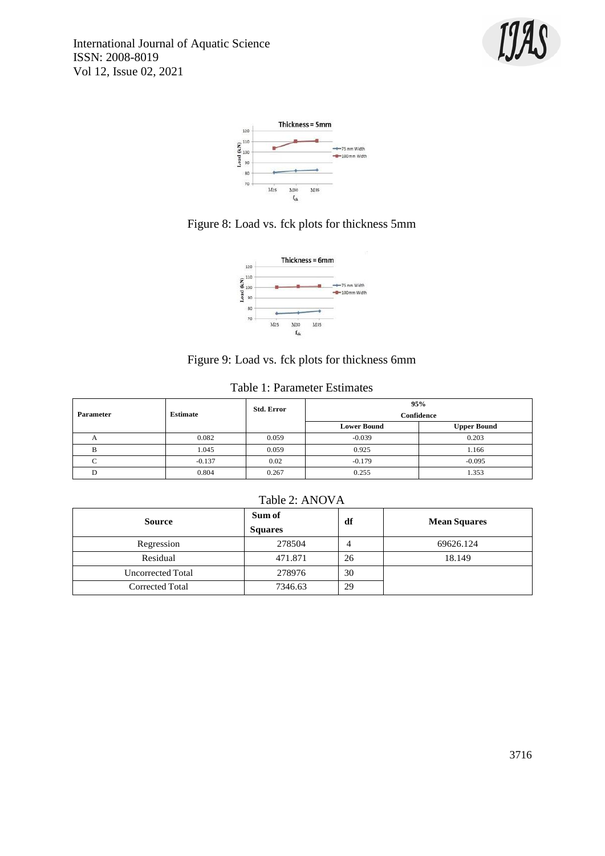







# Figure 9: Load vs. fck plots for thickness 6mm

## Table 1: Parameter Estimates

|              | <b>Estimate</b> | <b>Std. Error</b> | 95%                |                    |
|--------------|-----------------|-------------------|--------------------|--------------------|
| Parameter    |                 |                   | Confidence         |                    |
|              |                 |                   | <b>Lower Bound</b> | <b>Upper Bound</b> |
| $\mathsf{A}$ | 0.082           | 0.059             | $-0.039$           | 0.203              |
|              | 1.045           | 0.059             | 0.925              | 1.166              |
|              | $-0.137$        | 0.02              | $-0.179$           | $-0.095$           |
|              | 0.804           | 0.267             | 0.255              | 1.353              |

#### Table 2: ANOVA

| <b>Source</b>     | Sum of<br><b>Squares</b> | df | <b>Mean Squares</b> |
|-------------------|--------------------------|----|---------------------|
| Regression        | 278504                   |    | 69626.124           |
| Residual          | 471.871                  | 26 | 18.149              |
| Uncorrected Total | 278976                   | 30 |                     |
| Corrected Total   | 7346.63                  | 29 |                     |